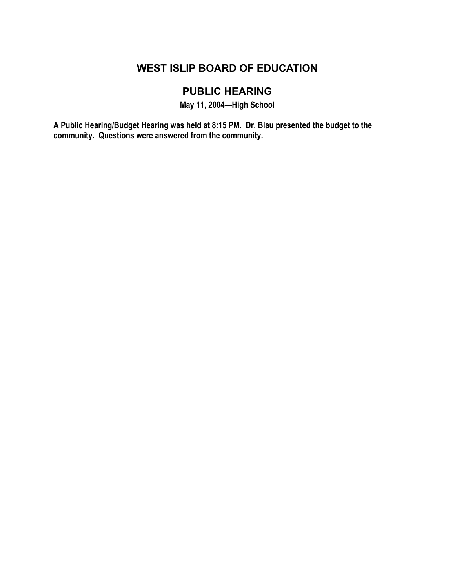## **WEST ISLIP BOARD OF EDUCATION**

# **PUBLIC HEARING**

**May 11, 2004—High School** 

**A Public Hearing/Budget Hearing was held at 8:15 PM. Dr. Blau presented the budget to the community. Questions were answered from the community.**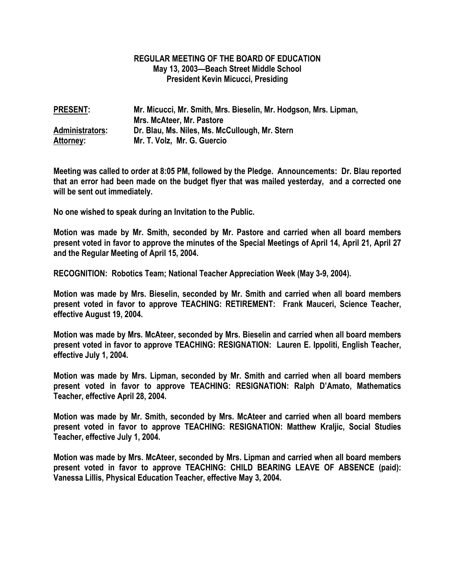#### **REGULAR MEETING OF THE BOARD OF EDUCATION May 13, 2003—Beach Street Middle School President Kevin Micucci, Presiding**

| <b>PRESENT:</b>        | Mr. Micucci, Mr. Smith, Mrs. Bieselin, Mr. Hodgson, Mrs. Lipman, |
|------------------------|------------------------------------------------------------------|
|                        | Mrs. McAteer, Mr. Pastore                                        |
| <b>Administrators:</b> | Dr. Blau, Ms. Niles, Ms. McCullough, Mr. Stern                   |
| <b>Attorney:</b>       | Mr. T. Volz, Mr. G. Guercio                                      |

**Meeting was called to order at 8:05 PM, followed by the Pledge. Announcements: Dr. Blau reported that an error had been made on the budget flyer that was mailed yesterday, and a corrected one will be sent out immediately.** 

**No one wished to speak during an Invitation to the Public.** 

**Motion was made by Mr. Smith, seconded by Mr. Pastore and carried when all board members present voted in favor to approve the minutes of the Special Meetings of April 14, April 21, April 27 and the Regular Meeting of April 15, 2004.** 

**RECOGNITION: Robotics Team; National Teacher Appreciation Week (May 3-9, 2004).** 

**Motion was made by Mrs. Bieselin, seconded by Mr. Smith and carried when all board members present voted in favor to approve TEACHING: RETIREMENT: Frank Mauceri, Science Teacher, effective August 19, 2004.** 

**Motion was made by Mrs. McAteer, seconded by Mrs. Bieselin and carried when all board members present voted in favor to approve TEACHING: RESIGNATION: Lauren E. Ippoliti, English Teacher, effective July 1, 2004.** 

**Motion was made by Mrs. Lipman, seconded by Mr. Smith and carried when all board members present voted in favor to approve TEACHING: RESIGNATION: Ralph D'Amato, Mathematics Teacher, effective April 28, 2004.** 

**Motion was made by Mr. Smith, seconded by Mrs. McAteer and carried when all board members present voted in favor to approve TEACHING: RESIGNATION: Matthew Kraljic, Social Studies Teacher, effective July 1, 2004.** 

**Motion was made by Mrs. McAteer, seconded by Mrs. Lipman and carried when all board members present voted in favor to approve TEACHING: CHILD BEARING LEAVE OF ABSENCE (paid): Vanessa Lillis, Physical Education Teacher, effective May 3, 2004.**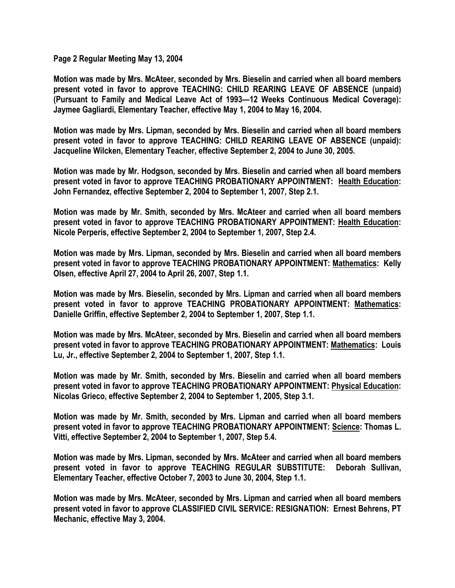**Page 2 Regular Meeting May 13, 2004** 

**Motion was made by Mrs. McAteer, seconded by Mrs. Bieselin and carried when all board members present voted in favor to approve TEACHING: CHILD REARING LEAVE OF ABSENCE (unpaid) (Pursuant to Family and Medical Leave Act of 1993—12 Weeks Continuous Medical Coverage): Jaymee Gagliardi, Elementary Teacher, effective May 1, 2004 to May 16, 2004.** 

**Motion was made by Mrs. Lipman, seconded by Mrs. Bieselin and carried when all board members present voted in favor to approve TEACHING: CHILD REARING LEAVE OF ABSENCE (unpaid): Jacqueline Wilcken, Elementary Teacher, effective September 2, 2004 to June 30, 2005.** 

**Motion was made by Mr. Hodgson, seconded by Mrs. Bieselin and carried when all board members present voted in favor to approve TEACHING PROBATIONARY APPOINTMENT: Health Education: John Fernandez, effective September 2, 2004 to September 1, 2007, Step 2.1.** 

**Motion was made by Mr. Smith, seconded by Mrs. McAteer and carried when all board members present voted in favor to approve TEACHING PROBATIONARY APPOINTMENT: Health Education: Nicole Perperis, effective September 2, 2004 to September 1, 2007, Step 2.4.** 

**Motion was made by Mrs. Lipman, seconded by Mrs. Bieselin and carried when all board members present voted in favor to approve TEACHING PROBATIONARY APPOINTMENT: Mathematics: Kelly Olsen, effective April 27, 2004 to April 26, 2007, Step 1.1.** 

**Motion was made by Mrs. Bieselin, seconded by Mrs. Lipman and carried when all board members present voted in favor to approve TEACHING PROBATIONARY APPOINTMENT: Mathematics: Danielle Griffin, effective September 2, 2004 to September 1, 2007, Step 1.1.** 

**Motion was made by Mrs. McAteer, seconded by Mrs. Bieselin and carried when all board members present voted in favor to approve TEACHING PROBATIONARY APPOINTMENT: Mathematics: Louis Lu, Jr., effective September 2, 2004 to September 1, 2007, Step 1.1.** 

**Motion was made by Mr. Smith, seconded by Mrs. Bieselin and carried when all board members present voted in favor to approve TEACHING PROBATIONARY APPOINTMENT: Physical Education: Nicolas Grieco, effective September 2, 2004 to September 1, 2005, Step 3.1.** 

**Motion was made by Mr. Smith, seconded by Mrs. Lipman and carried when all board members present voted in favor to approve TEACHING PROBATIONARY APPOINTMENT: Science: Thomas L. Vitti, effective September 2, 2004 to September 1, 2007, Step 5.4.** 

**Motion was made by Mrs. Lipman, seconded by Mrs. McAteer and carried when all board members present voted in favor to approve TEACHING REGULAR SUBSTITUTE: Deborah Sullivan, Elementary Teacher, effective October 7, 2003 to June 30, 2004, Step 1.1.** 

**Motion was made by Mrs. McAteer, seconded by Mrs. Lipman and carried when all board members present voted in favor to approve CLASSIFIED CIVIL SERVICE: RESIGNATION: Ernest Behrens, PT Mechanic, effective May 3, 2004.**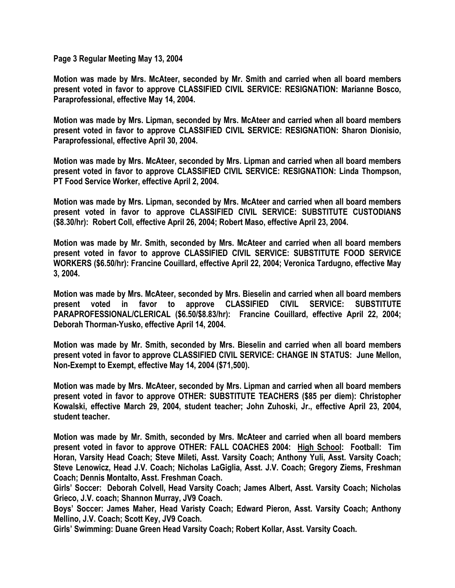**Page 3 Regular Meeting May 13, 2004** 

**Motion was made by Mrs. McAteer, seconded by Mr. Smith and carried when all board members present voted in favor to approve CLASSIFIED CIVIL SERVICE: RESIGNATION: Marianne Bosco, Paraprofessional, effective May 14, 2004.** 

**Motion was made by Mrs. Lipman, seconded by Mrs. McAteer and carried when all board members present voted in favor to approve CLASSIFIED CIVIL SERVICE: RESIGNATION: Sharon Dionisio, Paraprofessional, effective April 30, 2004.** 

**Motion was made by Mrs. McAteer, seconded by Mrs. Lipman and carried when all board members present voted in favor to approve CLASSIFIED CIVIL SERVICE: RESIGNATION: Linda Thompson, PT Food Service Worker, effective April 2, 2004.** 

**Motion was made by Mrs. Lipman, seconded by Mrs. McAteer and carried when all board members present voted in favor to approve CLASSIFIED CIVIL SERVICE: SUBSTITUTE CUSTODIANS (\$8.30/hr): Robert Coll, effective April 26, 2004; Robert Maso, effective April 23, 2004.** 

**Motion was made by Mr. Smith, seconded by Mrs. McAteer and carried when all board members present voted in favor to approve CLASSIFIED CIVIL SERVICE: SUBSTITUTE FOOD SERVICE WORKERS (\$6.50/hr): Francine Couillard, effective April 22, 2004; Veronica Tardugno, effective May 3, 2004.** 

**Motion was made by Mrs. McAteer, seconded by Mrs. Bieselin and carried when all board members present voted in favor to approve CLASSIFIED CIVIL SERVICE: SUBSTITUTE PARAPROFESSIONAL/CLERICAL (\$6.50/\$8.83/hr): Francine Couillard, effective April 22, 2004; Deborah Thorman-Yusko, effective April 14, 2004.** 

**Motion was made by Mr. Smith, seconded by Mrs. Bieselin and carried when all board members present voted in favor to approve CLASSIFIED CIVIL SERVICE: CHANGE IN STATUS: June Mellon, Non-Exempt to Exempt, effective May 14, 2004 (\$71,500).** 

**Motion was made by Mrs. McAteer, seconded by Mrs. Lipman and carried when all board members present voted in favor to approve OTHER: SUBSTITUTE TEACHERS (\$85 per diem): Christopher Kowalski, effective March 29, 2004, student teacher; John Zuhoski, Jr., effective April 23, 2004, student teacher.** 

**Motion was made by Mr. Smith, seconded by Mrs. McAteer and carried when all board members present voted in favor to approve OTHER: FALL COACHES 2004: High School: Football: Tim Horan, Varsity Head Coach; Steve Mileti, Asst. Varsity Coach; Anthony Yuli, Asst. Varsity Coach; Steve Lenowicz, Head J.V. Coach; Nicholas LaGiglia, Asst. J.V. Coach; Gregory Ziems, Freshman Coach; Dennis Montalto, Asst. Freshman Coach.** 

**Girls' Soccer: Deborah Colvell, Head Varsity Coach; James Albert, Asst. Varsity Coach; Nicholas Grieco, J.V. coach; Shannon Murray, JV9 Coach.** 

**Boys' Soccer: James Maher, Head Varisty Coach; Edward Pieron, Asst. Varsity Coach; Anthony Mellino, J.V. Coach; Scott Key, JV9 Coach.** 

**Girls' Swimming: Duane Green Head Varsity Coach; Robert Kollar, Asst. Varsity Coach.**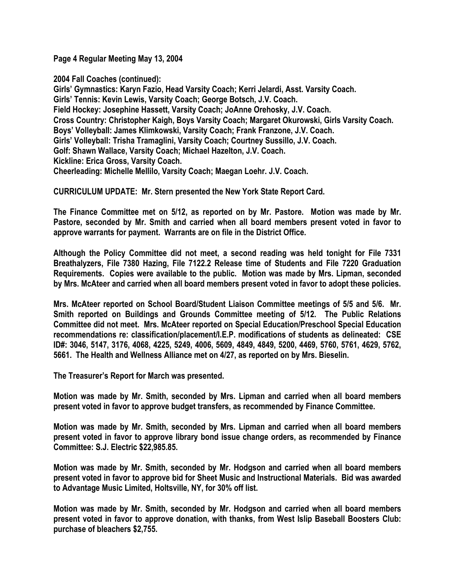**Page 4 Regular Meeting May 13, 2004** 

**2004 Fall Coaches (continued): Girls' Gymnastics: Karyn Fazio, Head Varsity Coach; Kerri Jelardi, Asst. Varsity Coach. Girls' Tennis: Kevin Lewis, Varsity Coach; George Botsch, J.V. Coach. Field Hockey: Josephine Hassett, Varsity Coach; JoAnne Orehosky, J.V. Coach. Cross Country: Christopher Kaigh, Boys Varsity Coach; Margaret Okurowski, Girls Varsity Coach. Boys' Volleyball: James Klimkowski, Varsity Coach; Frank Franzone, J.V. Coach. Girls' Volleyball: Trisha Tramaglini, Varsity Coach; Courtney Sussillo, J.V. Coach. Golf: Shawn Wallace, Varsity Coach; Michael Hazelton, J.V. Coach. Kickline: Erica Gross, Varsity Coach. Cheerleading: Michelle Mellilo, Varsity Coach; Maegan Loehr. J.V. Coach.** 

**CURRICULUM UPDATE: Mr. Stern presented the New York State Report Card.** 

**The Finance Committee met on 5/12, as reported on by Mr. Pastore. Motion was made by Mr. Pastore, seconded by Mr. Smith and carried when all board members present voted in favor to approve warrants for payment. Warrants are on file in the District Office.** 

**Although the Policy Committee did not meet, a second reading was held tonight for File 7331 Breathalyzers, File 7380 Hazing, File 7122.2 Release time of Students and File 7220 Graduation Requirements. Copies were available to the public. Motion was made by Mrs. Lipman, seconded by Mrs. McAteer and carried when all board members present voted in favor to adopt these policies.** 

**Mrs. McAteer reported on School Board/Student Liaison Committee meetings of 5/5 and 5/6. Mr. Smith reported on Buildings and Grounds Committee meeting of 5/12. The Public Relations Committee did not meet. Mrs. McAteer reported on Special Education/Preschool Special Education recommendations re: classification/placement/I.E.P. modifications of students as delineated: CSE ID#: 3046, 5147, 3176, 4068, 4225, 5249, 4006, 5609, 4849, 4849, 5200, 4469, 5760, 5761, 4629, 5762, 5661. The Health and Wellness Alliance met on 4/27, as reported on by Mrs. Bieselin.** 

**The Treasurer's Report for March was presented.** 

**Motion was made by Mr. Smith, seconded by Mrs. Lipman and carried when all board members present voted in favor to approve budget transfers, as recommended by Finance Committee.** 

**Motion was made by Mr. Smith, seconded by Mrs. Lipman and carried when all board members present voted in favor to approve library bond issue change orders, as recommended by Finance Committee: S.J. Electric \$22,985.85.** 

**Motion was made by Mr. Smith, seconded by Mr. Hodgson and carried when all board members present voted in favor to approve bid for Sheet Music and Instructional Materials. Bid was awarded to Advantage Music Limited, Holtsville, NY, for 30% off list.** 

**Motion was made by Mr. Smith, seconded by Mr. Hodgson and carried when all board members present voted in favor to approve donation, with thanks, from West Islip Baseball Boosters Club: purchase of bleachers \$2,755.**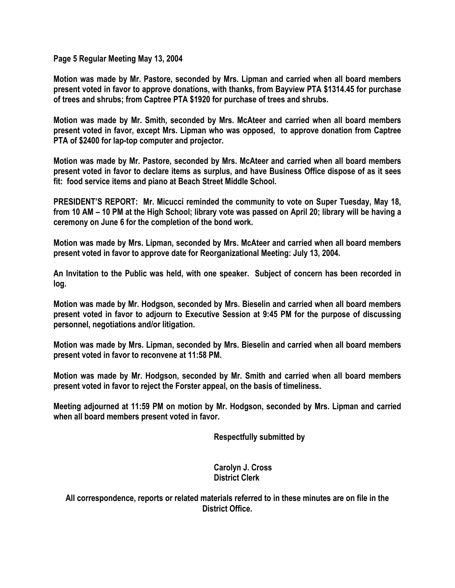**Page 5 Regular Meeting May 13, 2004** 

**Motion was made by Mr. Pastore, seconded by Mrs. Lipman and carried when all board members present voted in favor to approve donations, with thanks, from Bayview PTA \$1314.45 for purchase of trees and shrubs; from Captree PTA \$1920 for purchase of trees and shrubs.** 

**Motion was made by Mr. Smith, seconded by Mrs. McAteer and carried when all board members present voted in favor, except Mrs. Lipman who was opposed, to approve donation from Captree PTA of \$2400 for lap-top computer and projector.** 

**Motion was made by Mr. Pastore, seconded by Mrs. McAteer and carried when all board members present voted in favor to declare items as surplus, and have Business Office dispose of as it sees fit: food service items and piano at Beach Street Middle School.** 

**PRESIDENT'S REPORT: Mr. Micucci reminded the community to vote on Super Tuesday, May 18, from 10 AM – 10 PM at the High School; library vote was passed on April 20; library will be having a ceremony on June 6 for the completion of the bond work.** 

**Motion was made by Mrs. Lipman, seconded by Mrs. McAteer and carried when all board members present voted in favor to approve date for Reorganizational Meeting: July 13, 2004.** 

**An Invitation to the Public was held, with one speaker. Subject of concern has been recorded in log.** 

**Motion was made by Mr. Hodgson, seconded by Mrs. Bieselin and carried when all board members present voted in favor to adjourn to Executive Session at 9:45 PM for the purpose of discussing personnel, negotiations and/or litigation.** 

**Motion was made by Mrs. Lipman, seconded by Mrs. Bieselin and carried when all board members present voted in favor to reconvene at 11:58 PM.** 

**Motion was made by Mr. Hodgson, seconded by Mr. Smith and carried when all board members present voted in favor to reject the Forster appeal, on the basis of timeliness.** 

**Meeting adjourned at 11:59 PM on motion by Mr. Hodgson, seconded by Mrs. Lipman and carried when all board members present voted in favor.** 

 **Respectfully submitted by** 

 **Carolyn J. Cross District Clerk** 

**All correspondence, reports or related materials referred to in these minutes are on file in the District Office.**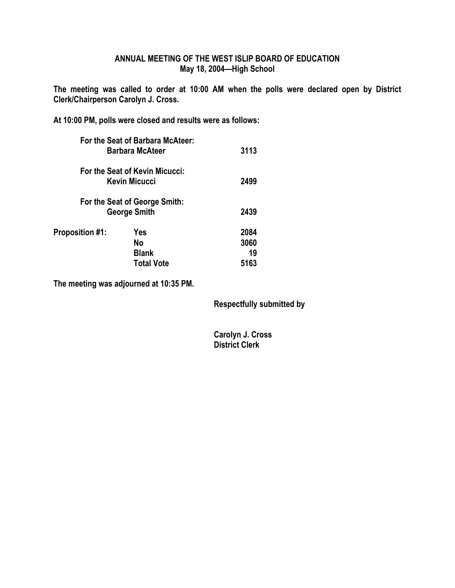### **ANNUAL MEETING OF THE WEST ISLIP BOARD OF EDUCATION May 18, 2004—High School**

**The meeting was called to order at 10:00 AM when the polls were declared open by District Clerk/Chairperson Carolyn J. Cross.** 

**At 10:00 PM, polls were closed and results were as follows:** 

|                        | For the Seat of Barbara McAteer:<br><b>Barbara McAteer</b> | 3113 |
|------------------------|------------------------------------------------------------|------|
|                        | For the Seat of Kevin Micucci:                             |      |
|                        | Kevin Micucci                                              | 2499 |
|                        | For the Seat of George Smith:                              |      |
|                        | <b>George Smith</b>                                        | 2439 |
| <b>Proposition #1:</b> | Yes                                                        | 2084 |
|                        | No                                                         | 3060 |
|                        | <b>Blank</b>                                               | 19   |
|                        | <b>Total Vote</b>                                          | 5163 |
|                        |                                                            |      |

**The meeting was adjourned at 10:35 PM.** 

 **Respectfully submitted by** 

 **Carolyn J. Cross District Clerk**